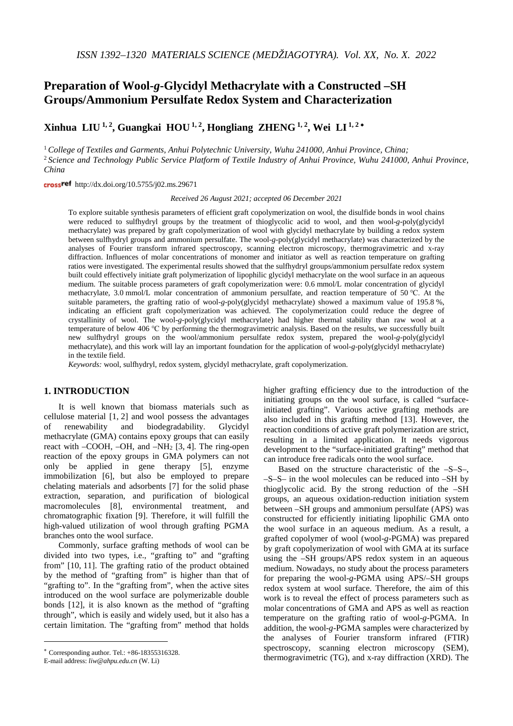# **Preparation of Wool-***g***-Glycidyl Methacrylate with a Constructed –SH Groups/Ammonium Persulfate Redox System and Characterization**

**Xinhua LIU 1, 2, Guangkai HOU 1, 2, Hongliang ZHENG 1, 2, Wei LI 1, <sup>2</sup>** <sup>∗</sup>

<sup>1</sup> *College of Textiles and Garments, Anhui Polytechnic University, Wuhu 241000, Anhui Province, China;*

<sup>2</sup> *Science and Technology Public Service Platform of Textile Industry of Anhui Province, Wuhu 241000, Anhui Province, China*

crossref http://dx.doi.org/10.5755/j02.ms.29671

*Received 26 August 2021; accepted 06 December 2021*

To explore suitable synthesis parameters of efficient graft copolymerization on wool, the disulfide bonds in wool chains were reduced to sulfhydryl groups by the treatment of thioglycolic acid to wool, and then wool-*g*-poly(glycidyl methacrylate) was prepared by graft copolymerization of wool with glycidyl methacrylate by building a redox system between sulfhydryl groups and ammonium persulfate. The wool-*g*-poly(glycidyl methacrylate) was characterized by the analyses of Fourier transform infrared spectroscopy, scanning electron microscopy, thermogravimetric and x-ray diffraction. Influences of molar concentrations of monomer and initiator as well as reaction temperature on grafting ratios were investigated. The experimental results showed that the sulfhydryl groups/ammonium persulfate redox system built could effectively initiate graft polymerization of lipophilic glycidyl methacrylate on the wool surface in an aqueous medium. The suitable process parameters of graft copolymerization were: 0.6 mmol/L molar concentration of glycidyl methacrylate, 3.0 mmol/L molar concentration of ammonium persulfate, and reaction temperature of 50 ℃. At the suitable parameters, the grafting ratio of wool-*g*-poly(glycidyl methacrylate) showed a maximum value of 195.8 %, indicating an efficient graft copolymerization was achieved. The copolymerization could reduce the degree of crystallinity of wool. The wool-*g*-poly(glycidyl methacrylate) had higher thermal stability than raw wool at a temperature of below 406 ℃ by performing the thermogravimetric analysis. Based on the results, we successfully built new sulfhydryl groups on the wool/ammonium persulfate redox system, prepared the wool-*g*-poly(glycidyl methacrylate), and this work will lay an important foundation for the application of wool-*g*-poly(glycidyl methacrylate) in the textile field.

*Keywords:* wool, sulfhydryl, redox system, glycidyl methacrylate, graft copolymerization.

# **1. INTRODUCTION**[∗](#page-0-0)

It is well known that biomass materials such as cellulose material [1, 2] and wool possess the advantages of renewability and biodegradability. Glycidyl methacrylate (GMA) contains epoxy groups that can easily react with –COOH, –OH, and –NH2 [3, 4]. The ring-open reaction of the epoxy groups in GMA polymers can not only be applied in gene therapy [5], enzyme immobilization [6], but also be employed to prepare chelating materials and adsorbents [7] for the solid phase extraction, separation, and purification of biological macromolecules [8], environmental treatment, and chromatographic fixation [9]. Therefore, it will fulfill the high-valued utilization of wool through grafting PGMA branches onto the wool surface.

Commonly, surface grafting methods of wool can be divided into two types, i.e., "grafting to" and "grafting from" [10, 11]. The grafting ratio of the product obtained by the method of "grafting from" is higher than that of "grafting to". In the "grafting from", when the active sites introduced on the wool surface are polymerizable double bonds [12], it is also known as the method of "grafting through", which is easily and widely used, but it also has a certain limitation. The "grafting from" method that holds

<u>.</u>

higher grafting efficiency due to the introduction of the initiating groups on the wool surface, is called "surfaceinitiated grafting". Various active grafting methods are also included in this grafting method [13]. However, the reaction conditions of active graft polymerization are strict, resulting in a limited application. It needs vigorous development to the "surface-initiated grafting" method that can introduce free radicals onto the wool surface.

Based on the structure characteristic of the –S–S–, –S–S– in the wool molecules can be reduced into –SH by thioglycolic acid. By the strong reduction of the –SH groups, an aqueous oxidation-reduction initiation system between –SH groups and ammonium persulfate (APS) was constructed for efficiently initiating lipophilic GMA onto the wool surface in an aqueous medium. As a result, a grafted copolymer of wool (wool-*g*-PGMA) was prepared by graft copolymerization of wool with GMA at its surface using the –SH groups/APS redox system in an aqueous medium. Nowadays, no study about the process parameters for preparing the wool-*g*-PGMA using APS/–SH groups redox system at wool surface. Therefore, the aim of this work is to reveal the effect of process parameters such as molar concentrations of GMA and APS as well as reaction temperature on the grafting ratio of wool-*g*-PGMA. In addition, the wool-*g*-PGMA samples were characterized by the analyses of Fourier transform infrared (FTIR) spectroscopy, scanning electron microscopy (SEM), thermogravimetric (TG), and x-ray diffraction (XRD). The

<span id="page-0-0"></span><sup>∗</sup> Corresponding author. Tel.: +86-18355316328.

E-mail address: *[liw@ahpu.edu.cn](mailto:liw@ahpu.edu.cn)* (W. Li)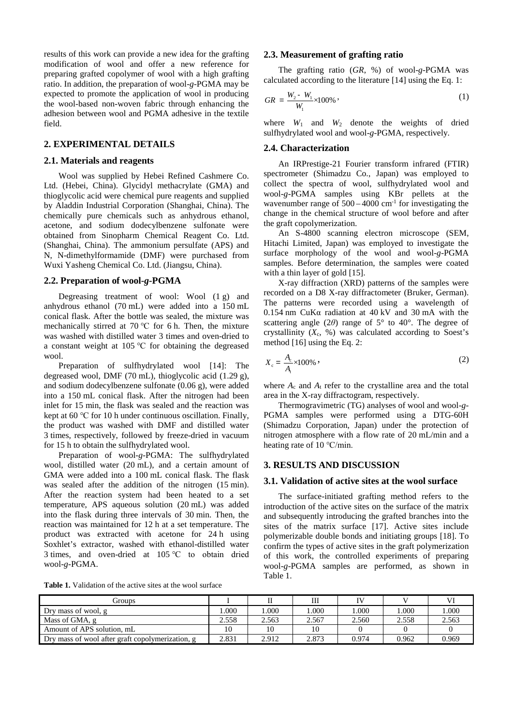results of this work can provide a new idea for the grafting modification of wool and offer a new reference for preparing grafted copolymer of wool with a high grafting ratio. In addition, the preparation of wool-*g*-PGMA may be expected to promote the application of wool in producing the wool-based non-woven fabric through enhancing the adhesion between wool and PGMA adhesive in the textile field.

# **2. EXPERIMENTAL DETAILS**

## **2.1. Materials and reagents**

Wool was supplied by Hebei Refined Cashmere Co. Ltd. (Hebei, China). Glycidyl methacrylate (GMA) and thioglycolic acid were chemical pure reagents and supplied by Aladdin Industrial Corporation (Shanghai, China). The chemically pure chemicals such as anhydrous ethanol, acetone, and sodium dodecylbenzene sulfonate were obtained from Sinopharm Chemical Reagent Co. Ltd. (Shanghai, China). The ammonium persulfate (APS) and N, N-dimethylformamide (DMF) were purchased from Wuxi Yasheng Chemical Co. Ltd. (Jiangsu, China).

## **2.2. Preparation of wool-***g***-PGMA**

Degreasing treatment of wool: Wool (1 g) and anhydrous ethanol (70 mL) were added into a 150 mL conical flask. After the bottle was sealed, the mixture was mechanically stirred at 70 ℃ for 6 h. Then, the mixture was washed with distilled water 3 times and oven-dried to a constant weight at 105 ℃ for obtaining the degreased wool.

Preparation of sulfhydrylated wool [14]: The degreased wool, DMF (70 mL), thioglycolic acid (1.29 g), and sodium dodecylbenzene sulfonate (0.06 g), were added into a 150 mL conical flask. After the nitrogen had been inlet for 15 min, the flask was sealed and the reaction was kept at 60 ℃ for 10 h under continuous oscillation. Finally, the product was washed with DMF and distilled water 3 times, respectively, followed by freeze-dried in vacuum for 15 h to obtain the sulfhydrylated wool.

Preparation of wool-*g*-PGMA: The sulfhydrylated wool, distilled water (20 mL), and a certain amount of GMA were added into a 100 mL conical flask. The flask was sealed after the addition of the nitrogen (15 min). After the reaction system had been heated to a set temperature, APS aqueous solution (20 mL) was added into the flask during three intervals of 30 min. Then, the reaction was maintained for 12 h at a set temperature. The product was extracted with acetone for 24 h using Soxhlet's extractor, washed with ethanol-distilled water 3 times, and oven-dried at 105 ℃ to obtain dried wool-*g*-PGMA.

**Table 1.** Validation of the active sites at the wool surface

## **2.3. Measurement of grafting ratio**

The grafting ratio (*GR*, %) of wool-*g*-PGMA was calculated according to the literature [14] using the Eq. 1:

$$
GR = \frac{W_2 - W_1}{W_1} \times 100\% \tag{1}
$$

where  $W_1$  and  $W_2$  denote the weights of dried sulfhydrylated wool and wool-*g*-PGMA, respectively.

## **2.4. Characterization**

An IRPrestige-21 Fourier transform infrared (FTIR) spectrometer (Shimadzu Co., Japan) was employed to collect the spectra of wool, sulfhydrylated wool and wool-*g*-PGMA samples using KBr pellets at the wavenumber range of  $500 - 4000$  cm<sup>-1</sup> for investigating the change in the chemical structure of wool before and after the graft copolymerization.

An S-4800 scanning electron microscope (SEM, Hitachi Limited, Japan) was employed to investigate the surface morphology of the wool and wool-*g*-PGMA samples. Before determination, the samples were coated with a thin layer of gold [15].

X-ray diffraction (XRD) patterns of the samples were recorded on a D8 X-ray diffractometer (Bruker, German). The patterns were recorded using a wavelength of 0.154 nm CuKα radiation at 40 kV and 30 mA with the scattering angle (2*θ*) range of 5° to 40°. The degree of crystallinity  $(X_c, %)$  was calculated according to Soest's method [16] using the Eq. 2:

$$
X_c = \frac{A_c}{A_t} \times 100\% \tag{2}
$$

where  $A_c$  and  $A_t$  refer to the crystalline area and the total area in the X-ray diffractogram, respectively.

Thermogravimetric (TG) analyses of wool and wool-*g*-PGMA samples were performed using a DTG-60H (Shimadzu Corporation, Japan) under the protection of nitrogen atmosphere with a flow rate of 20 mL/min and a heating rate of 10 ℃/min.

## **3. RESULTS AND DISCUSSION**

#### **3.1. Validation of active sites at the wool surface**

The surface-initiated grafting method refers to the introduction of the active sites on the surface of the matrix and subsequently introducing the grafted branches into the sites of the matrix surface [17]. Active sites include polymerizable double bonds and initiating groups [18]. To confirm the types of active sites in the graft polymerization of this work, the controlled experiments of preparing wool-*g*-PGMA samples are performed, as shown in Table 1.

| Groups                                           |       |       | Ш     |       |       |       |
|--------------------------------------------------|-------|-------|-------|-------|-------|-------|
| Dry mass of wool, g                              | .000  | .000  | .000. | .000  | .000  | .000  |
| Mass of GMA, g                                   | 2.558 | 2.563 | 2.567 | 2.560 | 2.558 | 2.563 |
| Amount of APS solution, mL                       | 10    | 10    | 10    |       |       |       |
| Dry mass of wool after graft copolymerization, g | 2.831 | 2.912 | 2.873 | 0.974 | 0.962 | 0.969 |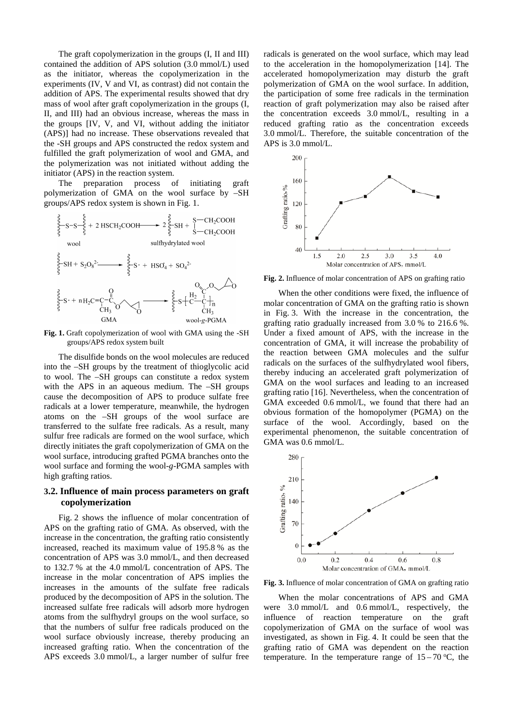The graft copolymerization in the groups (I, II and III) contained the addition of APS solution (3.0 mmol/L) used as the initiator, whereas the copolymerization in the experiments (IV, V and VI, as contrast) did not contain the addition of APS. The experimental results showed that dry mass of wool after graft copolymerization in the groups (I, II, and III) had an obvious increase, whereas the mass in the groups [IV, V, and VI, without adding the initiator (APS)] had no increase. These observations revealed that the -SH groups and APS constructed the redox system and fulfilled the graft polymerization of wool and GMA, and the polymerization was not initiated without adding the initiator (APS) in the reaction system.

The preparation process of initiating graft polymerization of GMA on the wool surface by –SH groups/APS redox system is shown in Fig. 1.



**Fig. 1.** Graft copolymerization of wool with GMA using the -SH groups/APS redox system built

The disulfide bonds on the wool molecules are reduced into the –SH groups by the treatment of thioglycolic acid to wool. The –SH groups can constitute a redox system with the APS in an aqueous medium. The –SH groups cause the decomposition of APS to produce sulfate free radicals at a lower temperature, meanwhile, the hydrogen atoms on the –SH groups of the wool surface are transferred to the sulfate free radicals. As a result, many sulfur free radicals are formed on the wool surface, which directly initiates the graft copolymerization of GMA on the wool surface, introducing grafted PGMA branches onto the wool surface and forming the wool-*g*-PGMA samples with high grafting ratios.

# **3.2. Influence of main process parameters on graft copolymerization**

Fig. 2 shows the influence of molar concentration of APS on the grafting ratio of GMA. As observed, with the increase in the concentration, the grafting ratio consistently increased, reached its maximum value of 195.8 % as the concentration of APS was 3.0 mmol/L, and then decreased to 132.7 % at the 4.0 mmol/L concentration of APS. The increase in the molar concentration of APS implies the increases in the amounts of the sulfate free radicals produced by the decomposition of APS in the solution. The increased sulfate free radicals will adsorb more hydrogen atoms from the sulfhydryl groups on the wool surface, so that the numbers of sulfur free radicals produced on the wool surface obviously increase, thereby producing an increased grafting ratio. When the concentration of the APS exceeds 3.0 mmol/L, a larger number of sulfur free radicals is generated on the wool surface, which may lead to the acceleration in the homopolymerization [14]. The accelerated homopolymerization may disturb the graft polymerization of GMA on the wool surface. In addition, the participation of some free radicals in the termination reaction of graft polymerization may also be raised after the concentration exceeds 3.0 mmol/L, resulting in a reduced grafting ratio as the concentration exceeds 3.0 mmol/L. Therefore, the suitable concentration of the APS is 3.0 mmol/L.



**Fig. 2.** Influence of molar concentration of APS on grafting ratio

When the other conditions were fixed, the influence of molar concentration of GMA on the grafting ratio is shown in Fig. 3. With the increase in the concentration, the grafting ratio gradually increased from 3.0 % to 216.6 %. Under a fixed amount of APS, with the increase in the concentration of GMA, it will increase the probability of the reaction between GMA molecules and the sulfur radicals on the surfaces of the sulfhydrylated wool fibers, thereby inducing an accelerated graft polymerization of GMA on the wool surfaces and leading to an increased grafting ratio [16]. Nevertheless, when the concentration of GMA exceeded 0.6 mmol/L, we found that there had an obvious formation of the homopolymer (PGMA) on the surface of the wool. Accordingly, based on the experimental phenomenon, the suitable concentration of GMA was 0.6 mmol/L.



**Fig. 3.** Influence of molar concentration of GMA on grafting ratio

When the molar concentrations of APS and GMA were 3.0 mmol/L and 0.6 mmol/L, respectively, the influence of reaction temperature on the graft copolymerization of GMA on the surface of wool was investigated, as shown in Fig. 4. It could be seen that the grafting ratio of GMA was dependent on the reaction temperature. In the temperature range of  $15-70$  °C, the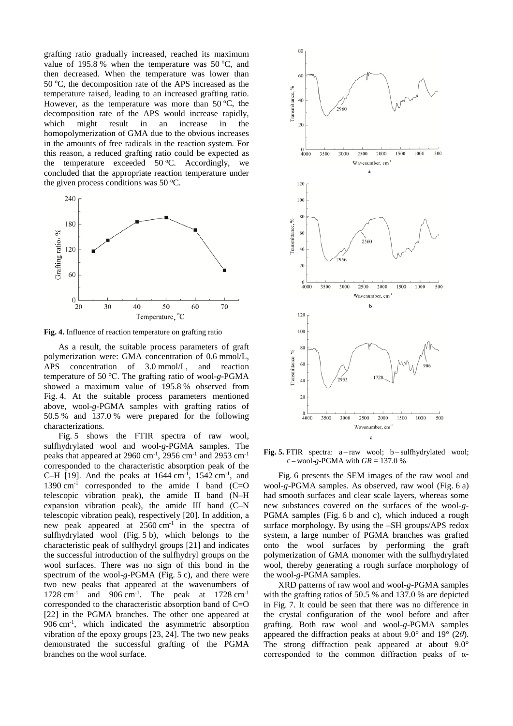grafting ratio gradually increased, reached its maximum value of 195.8 % when the temperature was  $50^{\circ}$ C, and then decreased. When the temperature was lower than 50 °C, the decomposition rate of the APS increased as the temperature raised, leading to an increased grafting ratio. However, as the temperature was more than  $50^{\circ}$ C, the decomposition rate of the APS would increase rapidly, which might result in an increase in the homopolymerization of GMA due to the obvious increases in the amounts of free radicals in the reaction system. For this reason, a reduced grafting ratio could be expected as the temperature exceeded  $50^{\circ}$ C. Accordingly, we concluded that the appropriate reaction temperature under the given process conditions was 50  $°C$ .



**Fig. 4.** Influence of reaction temperature on grafting ratio

As a result, the suitable process parameters of graft polymerization were: GMA concentration of 0.6 mmol/L, APS concentration of 3.0 mmol/L, and reaction temperature of 50 ℃. The grafting ratio of wool-*g*-PGMA showed a maximum value of 195.8 % observed from Fig. 4. At the suitable process parameters mentioned above, wool-*g*-PGMA samples with grafting ratios of 50.5 % and 137.0 % were prepared for the following characterizations.

Fig. 5 shows the FTIR spectra of raw wool, sulfhydrylated wool and wool-*g*-PGMA samples. The peaks that appeared at 2960 cm<sup>-1</sup>, 2956 cm<sup>-1</sup> and 2953 cm<sup>-1</sup> corresponded to the characteristic absorption peak of the C-H [19]. And the peaks at  $1644 \text{ cm}^{-1}$ ,  $1542 \text{ cm}^{-1}$ , and 1390  $cm<sup>-1</sup>$  corresponded to the amide I band (C=O telescopic vibration peak), the amide II band (N–H expansion vibration peak), the amide III band (C–N telescopic vibration peak), respectively [20]. In addition, a new peak appeared at  $2560 \text{ cm}^{-1}$  in the spectra of sulfhydrylated wool (Fig. 5 b), which belongs to the characteristic peak of sulfhydryl groups [21] and indicates the successful introduction of the sulfhydryl groups on the wool surfaces. There was no sign of this bond in the spectrum of the wool-*g*-PGMA (Fig. 5 c), and there were two new peaks that appeared at the wavenumbers of 1728 cm<sup>-1</sup> and 906 cm<sup>-1</sup>. The peak at 1728 cm<sup>-1</sup> corresponded to the characteristic absorption band of C=O [22] in the PGMA branches. The other one appeared at 906 cm-1 , which indicated the asymmetric absorption vibration of the epoxy groups [23, 24]. The two new peaks demonstrated the successful grafting of the PGMA branches on the wool surface.



**Fig. 5.** FTIR spectra: a – raw wool; b – sulfhydrylated wool;  $c - \text{wool-g-PGMA with } GR = 137.0 %$ 

Fig. 6 presents the SEM images of the raw wool and wool-*g*-PGMA samples. As observed, raw wool (Fig. 6 a) had smooth surfaces and clear scale layers, whereas some new substances covered on the surfaces of the wool-*g*-PGMA samples (Fig. 6 b and c), which induced a rough surface morphology. By using the –SH groups/APS redox system, a large number of PGMA branches was grafted onto the wool surfaces by performing the graft polymerization of GMA monomer with the sulfhydrylated wool, thereby generating a rough surface morphology of the wool-*g*-PGMA samples.

XRD patterns of raw wool and wool-*g*-PGMA samples with the grafting ratios of 50.5 % and 137.0 % are depicted in Fig. 7. It could be seen that there was no difference in the crystal configuration of the wool before and after grafting. Both raw wool and wool-*g*-PGMA samples appeared the diffraction peaks at about 9.0° and 19° (2*θ*). The strong diffraction peak appeared at about 9.0° corresponded to the common diffraction peaks of α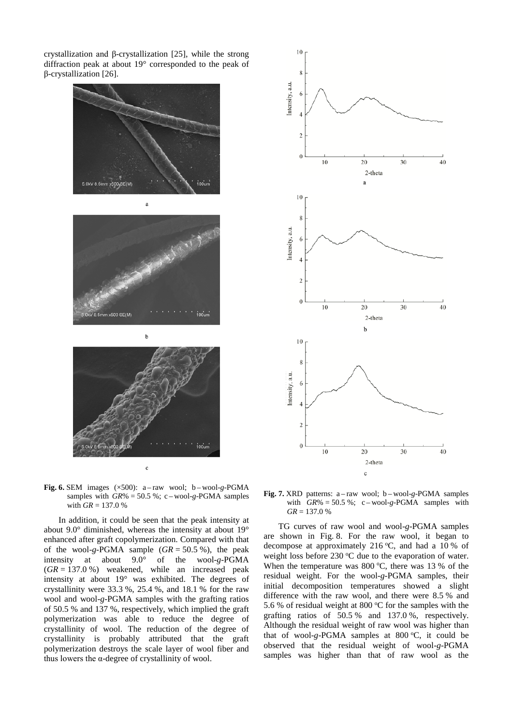crystallization and β-crystallization [25], while the strong diffraction peak at about 19° corresponded to the peak of β-crystallization [26].



**Fig.** 6. SEM images  $(\times 500)$ : a-raw wool; b-wool-g-PGMA samples with  $GR\% = 50.5\%$ ; c – wool-g-PGMA samples with  $GR = 137.0 \%$ 

In addition, it could be seen that the peak intensity at about 9.0° diminished, whereas the intensity at about 19° enhanced after graft copolymerization. Compared with that of the wool-*g*-PGMA sample (*GR* = 50.5 %), the peak intensity at about 9.0° of the wool-*g*-PGMA (*GR* = 137.0 %) weakened, while an increased peak intensity at about 19° was exhibited. The degrees of crystallinity were 33.3 %, 25.4 %, and 18.1 % for the raw wool and wool-*g*-PGMA samples with the grafting ratios of 50.5 % and 137 %, respectively, which implied the graft polymerization was able to reduce the degree of crystallinity of wool. The reduction of the degree of crystallinity is probably attributed that the graft polymerization destroys the scale layer of wool fiber and thus lowers the α-degree of crystallinity of wool.



**Fig. 7.** XRD patterns: a – raw wool; b – wool-*g*-PGMA samples with  $GR\% = 50.5\%$ ; c – wool-g-PGMA samples with  $GR = 137.0 %$ 

TG curves of raw wool and wool-*g*-PGMA samples are shown in Fig. 8. For the raw wool, it began to decompose at approximately 216 °C, and had a 10 % of weight loss before  $230^{\circ}$ C due to the evaporation of water. When the temperature was  $800^{\circ}$ C, there was 13 % of the residual weight. For the wool-*g*-PGMA samples, their initial decomposition temperatures showed a slight difference with the raw wool, and there were 8.5 % and 5.6 % of residual weight at 800  $\mathrm{^{\circ}C}$  for the samples with the grafting ratios of 50.5 % and 137.0 %, respectively. Although the residual weight of raw wool was higher than that of wool-g-PGMA samples at 800 °C, it could be observed that the residual weight of wool-*g*-PGMA samples was higher than that of raw wool as the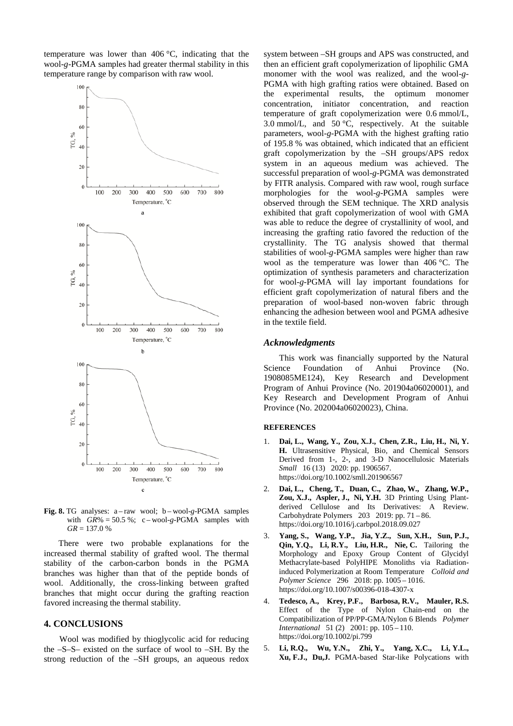temperature was lower than 406 °C, indicating that the wool-*g*-PGMA samples had greater thermal stability in this temperature range by comparison with raw wool.



**Fig. 8.** TG analyses: a – raw wool; b – wool-*g*-PGMA samples with  $GR\% = 50.5\%$ ; c – wool-g-PGMA samples with  $GR = 137.0 %$ 

There were two probable explanations for the increased thermal stability of grafted wool. The thermal stability of the carbon-carbon bonds in the PGMA branches was higher than that of the peptide bonds of wool. Additionally, the cross-linking between grafted branches that might occur during the grafting reaction favored increasing the thermal stability.

### **4. CONCLUSIONS**

Wool was modified by thioglycolic acid for reducing the –S–S– existed on the surface of wool to –SH. By the strong reduction of the –SH groups, an aqueous redox system between –SH groups and APS was constructed, and then an efficient graft copolymerization of lipophilic GMA monomer with the wool was realized, and the wool-*g*-PGMA with high grafting ratios were obtained. Based on the experimental results, the optimum monomer concentration, initiator concentration, and reaction temperature of graft copolymerization were 0.6 mmol/L, 3.0 mmol/L, and 50 °C, respectively. At the suitable parameters, wool-*g*-PGMA with the highest grafting ratio of 195.8 % was obtained, which indicated that an efficient graft copolymerization by the –SH groups/APS redox system in an aqueous medium was achieved. The successful preparation of wool-*g*-PGMA was demonstrated by FITR analysis. Compared with raw wool, rough surface morphologies for the wool-*g*-PGMA samples were observed through the SEM technique. The XRD analysis exhibited that graft copolymerization of wool with GMA was able to reduce the degree of crystallinity of wool, and increasing the grafting ratio favored the reduction of the crystallinity. The TG analysis showed that thermal stabilities of wool-*g*-PGMA samples were higher than raw wool as the temperature was lower than 406 °C. The optimization of synthesis parameters and characterization for wool-*g*-PGMA will lay important foundations for efficient graft copolymerization of natural fibers and the preparation of wool-based non-woven fabric through enhancing the adhesion between wool and PGMA adhesive in the textile field.

#### *Acknowledgments*

This work was financially supported by the Natural Science Foundation of Anhui Province (No. 1908085ME124), Key Research and Development Program of Anhui Province (No. 201904a06020001), and Key Research and Development Program of Anhui Province (No. 202004a06020023), China.

#### **REFERENCES**

- 1. **Dai, L., Wang, Y., Zou, X.J., Chen, Z.R., Liu, H., Ni, Y. H.** Ultrasensitive Physical, Bio, and Chemical Sensors Derived from 1-, 2-, and 3-D Nanocellulosic Materials *Small* 16 (13) 2020: pp. 1906567. <https://doi.org/10.1002/smll.201906567>
- 2. **Dai, L., Cheng, T., Duan, C., Zhao, W., Zhang, W.P., Zou, X.J., Aspler, J., Ni, Y.H.** 3D Printing Using Plantderived Cellulose and Its Derivatives: A Review. Carbohydrate Polymers 203 2019: pp. 71 – 86. https://doi.org/10.1016/j.carbpol.2018.09.027
- 3. **Yang, S., Wang, Y.P., Jia, Y.Z., Sun, X.H., Sun, P.J., Qin, Y.Q., Li, R.Y., Liu, H.R., Nie, C.** Tailoring the Morphology and Epoxy Group Content of Glycidyl Methacrylate-based PolyHIPE Monoliths via Radiationinduced Polymerization at Room Temperature *Colloid and Polymer Science* 296 2018: pp. 1005 – 1016. <https://doi.org/10.1007/s00396-018-4307-x>
- 4. **Tedesco, A., Krey, P.F., Barbosa, R.V., Mauler, R.S.** Effect of the Type of Nylon Chain-end on the Compatibilization of PP/PP-GMA/Nylon 6 Blends *Polymer International* 51 (2) 2001: pp. 105 – 110. <https://doi.org/10.1002/pi.799>
- 5. **Li, R.Q., Wu, Y.N., Zhi, Y., Yang, X.C., Li, Y.L., Xu, F.J., Du,J.** PGMA-based Star-like Polycations with